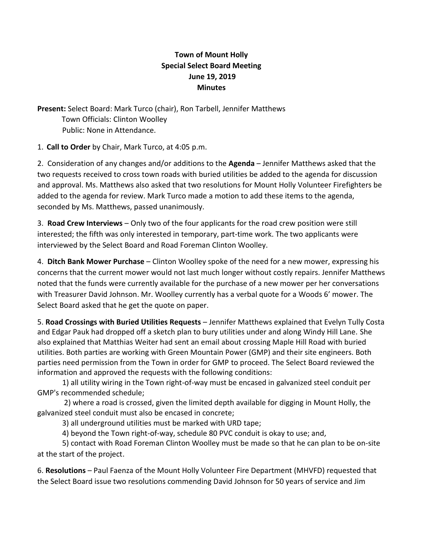## **Town of Mount Holly Special Select Board Meeting June 19, 2019 Minutes**

**Present:** Select Board: Mark Turco (chair), Ron Tarbell, Jennifer Matthews Town Officials: Clinton Woolley Public: None in Attendance.

1. **Call to Order** by Chair, Mark Turco, at 4:05 p.m.

2. Consideration of any changes and/or additions to the **Agenda** – Jennifer Matthews asked that the two requests received to cross town roads with buried utilities be added to the agenda for discussion and approval. Ms. Matthews also asked that two resolutions for Mount Holly Volunteer Firefighters be added to the agenda for review. Mark Turco made a motion to add these items to the agenda, seconded by Ms. Matthews, passed unanimously.

3. **Road Crew Interviews** – Only two of the four applicants for the road crew position were still interested; the fifth was only interested in temporary, part-time work. The two applicants were interviewed by the Select Board and Road Foreman Clinton Woolley.

4. **Ditch Bank Mower Purchase** – Clinton Woolley spoke of the need for a new mower, expressing his concerns that the current mower would not last much longer without costly repairs. Jennifer Matthews noted that the funds were currently available for the purchase of a new mower per her conversations with Treasurer David Johnson. Mr. Woolley currently has a verbal quote for a Woods 6' mower. The Select Board asked that he get the quote on paper.

5. **Road Crossings with Buried Utilities Requests** – Jennifer Matthews explained that Evelyn Tully Costa and Edgar Pauk had dropped off a sketch plan to bury utilities under and along Windy Hill Lane. She also explained that Matthias Weiter had sent an email about crossing Maple Hill Road with buried utilities. Both parties are working with Green Mountain Power (GMP) and their site engineers. Both parties need permission from the Town in order for GMP to proceed. The Select Board reviewed the information and approved the requests with the following conditions:

1) all utility wiring in the Town right-of-way must be encased in galvanized steel conduit per GMP's recommended schedule;

2) where a road is crossed, given the limited depth available for digging in Mount Holly, the galvanized steel conduit must also be encased in concrete;

3) all underground utilities must be marked with URD tape;

4) beyond the Town right-of-way, schedule 80 PVC conduit is okay to use; and,

5) contact with Road Foreman Clinton Woolley must be made so that he can plan to be on-site at the start of the project.

6. **Resolutions** – Paul Faenza of the Mount Holly Volunteer Fire Department (MHVFD) requested that the Select Board issue two resolutions commending David Johnson for 50 years of service and Jim